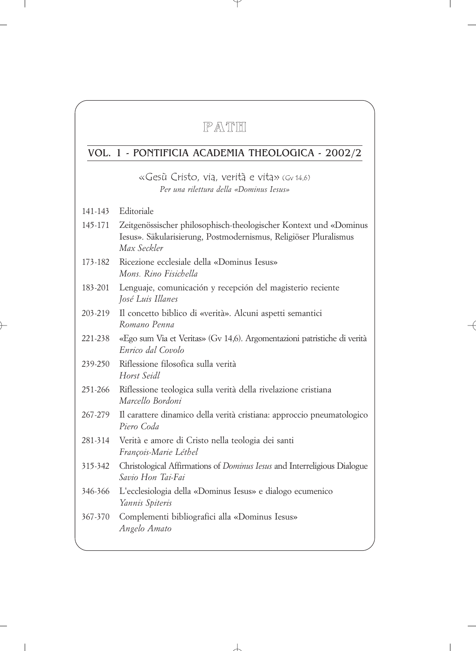# **PATH**

# VOL. 1 - PONTIFICIA ACADEMIA THEOLOGICA - 2002/2

«Gesù Cristo, via, verità e vita» (Gv 14,6) *Per una rilettura della «Dominus Iesus»*

141-143 Editoriale

- 145-171 Zeitgenössischer philosophisch-theologischer Kontext und «Dominus Iesus». Säkularisierung, Postmodernismus, Religiöser Pluralismus *Max Seckler*
- 173-182 Ricezione ecclesiale della «Dominus Iesus» *Mons. Rino Fisichella*
- 183-201 Lenguaje, comunicación y recepción del magisterio reciente *José Luis Illanes*
- 203-219 Il concetto biblico di «verità». Alcuni aspetti semantici *Romano Penna*
- 221-238 «Ego sum Via et Veritas» (Gv 14,6). Argomentazioni patristiche di verità *Enrico dal Covolo*
- 239-250 Riflessione filosofica sulla verità *Horst Seidl*
- 251-266 Riflessione teologica sulla verità della rivelazione cristiana *Marcello Bordoni*
- 267-279 Il carattere dinamico della verità cristiana: approccio pneumatologico *Piero Coda*
- 281-314 Verità e amore di Cristo nella teologia dei santi *François-Marie Léthel*
- 315-342 Christological Affirmations of *Dominus Iesus* and Interreligious Dialogue *Savio Hon Tai-Fai*
- 346-366 L'ecclesiologia della «Dominus Iesus» e dialogo ecumenico *Yannis Spiteris*
- 367-370 Complementi bibliografici alla «Dominus Iesus» *Angelo Amato*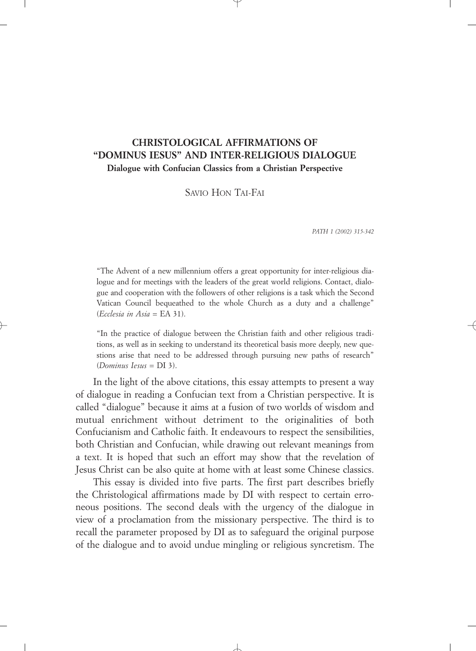# **CHRISTOLOGICAL AFFIRMATIONS OF "DOMINUS IESUS" AND INTER-RELIGIOUS DIALOGUE Dialogue with Confucian Classics from a Christian Perspective**

SAVIO HON TAI-FAI

*PATH 1 (2002) 315-342* 

"The Advent of a new millennium offers a great opportunity for inter-religious dialogue and for meetings with the leaders of the great world religions. Contact, dialogue and cooperation with the followers of other religions is a task which the Second Vatican Council bequeathed to the whole Church as a duty and a challenge" (*Ecclesia in Asia* = EA 31).

"In the practice of dialogue between the Christian faith and other religious traditions, as well as in seeking to understand its theoretical basis more deeply, new questions arise that need to be addressed through pursuing new paths of research" (*Dominus Iesus* = DI 3).

In the light of the above citations, this essay attempts to present a way of dialogue in reading a Confucian text from a Christian perspective. It is called "dialogue" because it aims at a fusion of two worlds of wisdom and mutual enrichment without detriment to the originalities of both Confucianism and Catholic faith. It endeavours to respect the sensibilities, both Christian and Confucian, while drawing out relevant meanings from a text. It is hoped that such an effort may show that the revelation of Jesus Christ can be also quite at home with at least some Chinese classics.

This essay is divided into five parts. The first part describes briefly the Christological affirmations made by DI with respect to certain erroneous positions. The second deals with the urgency of the dialogue in view of a proclamation from the missionary perspective. The third is to recall the parameter proposed by DI as to safeguard the original purpose of the dialogue and to avoid undue mingling or religious syncretism. The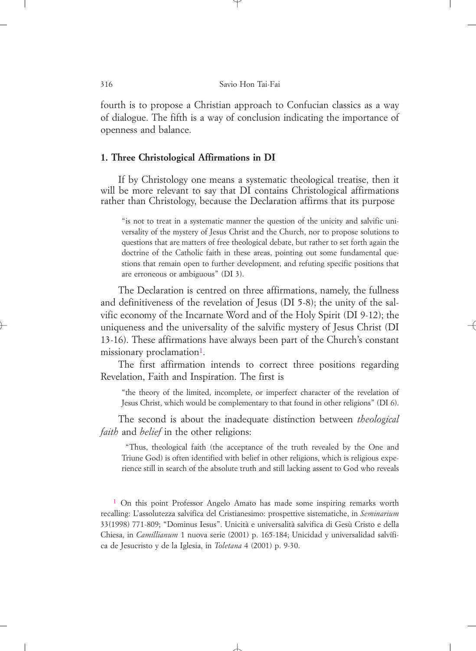fourth is to propose a Christian approach to Confucian classics as a way of dialogue. The fifth is a way of conclusion indicating the importance of openness and balance.

### **1. Three Christological Affirmations in DI**

If by Christology one means a systematic theological treatise, then it will be more relevant to say that DI contains Christological affirmations rather than Christology, because the Declaration affirms that its purpose

"is not to treat in a systematic manner the question of the unicity and salvific universality of the mystery of Jesus Christ and the Church, nor to propose solutions to questions that are matters of free theological debate, but rather to set forth again the doctrine of the Catholic faith in these areas, pointing out some fundamental questions that remain open to further development, and refuting specific positions that are erroneous or ambiguous" (DI 3).

The Declaration is centred on three affirmations, namely, the fullness and definitiveness of the revelation of Jesus (DI 5-8); the unity of the salvific economy of the Incarnate Word and of the Holy Spirit (DI 9-12); the uniqueness and the universality of the salvific mystery of Jesus Christ (DI 13-16). These affirmations have always been part of the Church's constant missionary proclamation<sup>1</sup>.

The first affirmation intends to correct three positions regarding Revelation, Faith and Inspiration. The first is

"the theory of the limited, incomplete, or imperfect character of the revelation of Jesus Christ, which would be complementary to that found in other religions" (DI 6).

The second is about the inadequate distinction between *theological faith* and *belief* in the other religions:

"Thus, theological faith (the acceptance of the truth revealed by the One and Triune God) is often identified with belief in other religions, which is religious experience still in search of the absolute truth and still lacking assent to God who reveals

1 On this point Professor Angelo Amato has made some inspiring remarks worth recalling: L'assolutezza salvifica del Cristianesimo: prospettive sistematiche, in *Seminarium* 33(1998) 771-809; "Dominus Iesus". Unicità e universalità salvifica di Gesù Cristo e della Chiesa, in *Camillianum* 1 nuova serie (2001) p. 165-184; Unicidad y universalidad salvífica de Jesucristo y de la Iglesia, in *Toletana* 4 (2001) p. 9-30.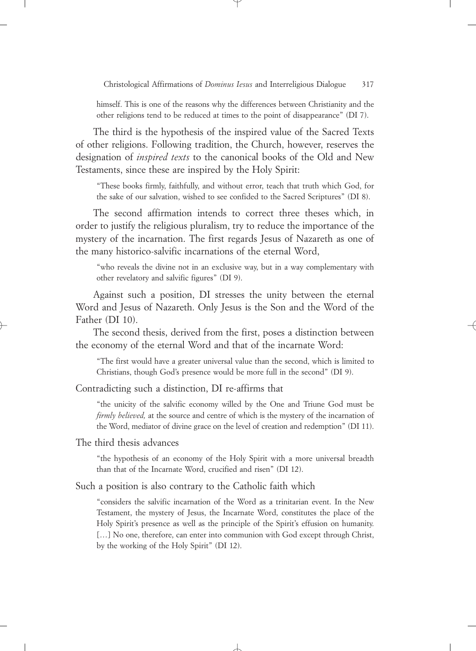himself. This is one of the reasons why the differences between Christianity and the other religions tend to be reduced at times to the point of disappearance" (DI 7).

The third is the hypothesis of the inspired value of the Sacred Texts of other religions. Following tradition, the Church, however, reserves the designation of *inspired texts* to the canonical books of the Old and New Testaments, since these are inspired by the Holy Spirit:

"These books firmly, faithfully, and without error, teach that truth which God, for the sake of our salvation, wished to see confided to the Sacred Scriptures" (DI 8).

The second affirmation intends to correct three theses which, in order to justify the religious pluralism, try to reduce the importance of the mystery of the incarnation. The first regards Jesus of Nazareth as one of the many historico-salvific incarnations of the eternal Word,

"who reveals the divine not in an exclusive way, but in a way complementary with other revelatory and salvific figures" (DI 9).

Against such a position, DI stresses the unity between the eternal Word and Jesus of Nazareth. Only Jesus is the Son and the Word of the Father (DI 10).

The second thesis, derived from the first, poses a distinction between the economy of the eternal Word and that of the incarnate Word:

"The first would have a greater universal value than the second, which is limited to Christians, though God's presence would be more full in the second" (DI 9).

Contradicting such a distinction, DI re-affirms that

"the unicity of the salvific economy willed by the One and Triune God must be *firmly believed,* at the source and centre of which is the mystery of the incarnation of the Word, mediator of divine grace on the level of creation and redemption" (DI 11).

The third thesis advances

"the hypothesis of an economy of the Holy Spirit with a more universal breadth than that of the Incarnate Word, crucified and risen" (DI 12).

Such a position is also contrary to the Catholic faith which

"considers the salvific incarnation of the Word as a trinitarian event. In the New Testament, the mystery of Jesus, the Incarnate Word, constitutes the place of the Holy Spirit's presence as well as the principle of the Spirit's effusion on humanity. [...] No one, therefore, can enter into communion with God except through Christ, by the working of the Holy Spirit" (DI 12).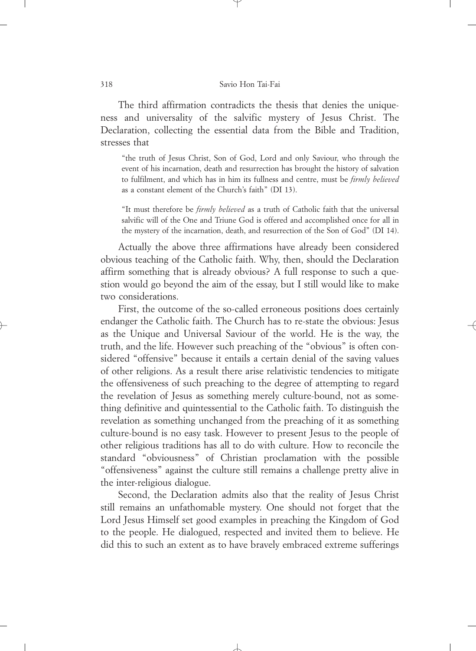The third affirmation contradicts the thesis that denies the uniqueness and universality of the salvific mystery of Jesus Christ. The Declaration, collecting the essential data from the Bible and Tradition, stresses that

"the truth of Jesus Christ, Son of God, Lord and only Saviour, who through the event of his incarnation, death and resurrection has brought the history of salvation to fulfilment, and which has in him its fullness and centre, must be *firmly believed* as a constant element of the Church's faith" (DI 13).

"It must therefore be *firmly believed* as a truth of Catholic faith that the universal salvific will of the One and Triune God is offered and accomplished once for all in the mystery of the incarnation, death, and resurrection of the Son of God" (DI 14).

Actually the above three affirmations have already been considered obvious teaching of the Catholic faith. Why, then, should the Declaration affirm something that is already obvious? A full response to such a question would go beyond the aim of the essay, but I still would like to make two considerations.

First, the outcome of the so-called erroneous positions does certainly endanger the Catholic faith. The Church has to re-state the obvious: Jesus as the Unique and Universal Saviour of the world. He is the way, the truth, and the life. However such preaching of the "obvious" is often considered "offensive" because it entails a certain denial of the saving values of other religions. As a result there arise relativistic tendencies to mitigate the offensiveness of such preaching to the degree of attempting to regard the revelation of Jesus as something merely culture-bound, not as something definitive and quintessential to the Catholic faith. To distinguish the revelation as something unchanged from the preaching of it as something culture-bound is no easy task. However to present Jesus to the people of other religious traditions has all to do with culture. How to reconcile the standard "obviousness" of Christian proclamation with the possible "offensiveness" against the culture still remains a challenge pretty alive in the inter-religious dialogue.

Second, the Declaration admits also that the reality of Jesus Christ still remains an unfathomable mystery. One should not forget that the Lord Jesus Himself set good examples in preaching the Kingdom of God to the people. He dialogued, respected and invited them to believe. He did this to such an extent as to have bravely embraced extreme sufferings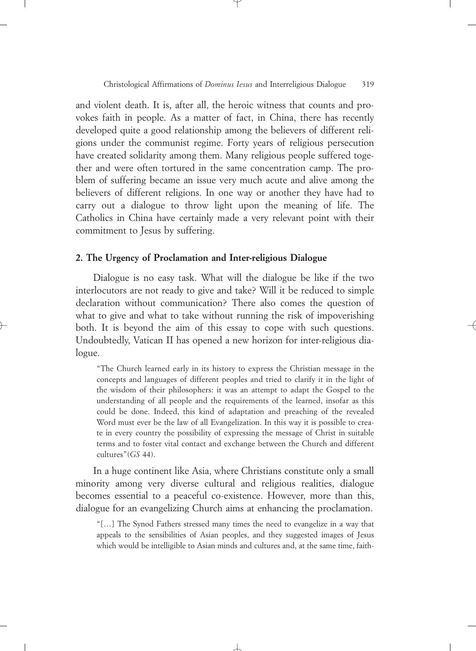and violent death. It is, after all, the heroic witness that counts and provokes faith in people. As a matter of fact, in China, there has recently developed quite a good relationship among the believers of different religions under the communist regime. Forty years of religious persecution have created solidarity among them. Many religious people suffered together and were often tortured in the same concentration camp. The problem of suffering became an issue very much acute and alive among the believers of different religions. In one way or another they have had to carry out a dialogue to throw light upon the meaning of life. The Catholics in China have certainly made a very relevant point with their commitment to Jesus by suffering.

### **2. The Urgency of Proclamation and Inter-religious Dialogue**

Dialogue is no easy task. What will the dialogue be like if the two interlocutors are not ready to give and take? Will it be reduced to simple declaration without communication? There also comes the question of what to give and what to take without running the risk of impoverishing both. It is beyond the aim of this essay to cope with such questions. Undoubtedly, Vatican II has opened a new horizon for inter-religious dialogue.

"The Church learned early in its history to express the Christian message in the concepts and languages of different peoples and tried to clarify it in the light of the wisdom of their philosophers: it was an attempt to adapt the Gospel to the understanding of all people and the requirements of the learned, insofar as this could be done. Indeed, this kind of adaptation and preaching of the revealed Word must ever be the law of all Evangelization. In this way it is possible to create in every country the possibility of expressing the message of Christ in suitable terms and to foster vital contact and exchange between the Church and different cultures"(*GS* 44).

In a huge continent like Asia, where Christians constitute only a small minority among very diverse cultural and religious realities, dialogue becomes essential to a peaceful co-existence. However, more than this, dialogue for an evangelizing Church aims at enhancing the proclamation.

"[…] The Synod Fathers stressed many times the need to evangelize in a way that appeals to the sensibilities of Asian peoples, and they suggested images of Jesus which would be intelligible to Asian minds and cultures and, at the same time, faith-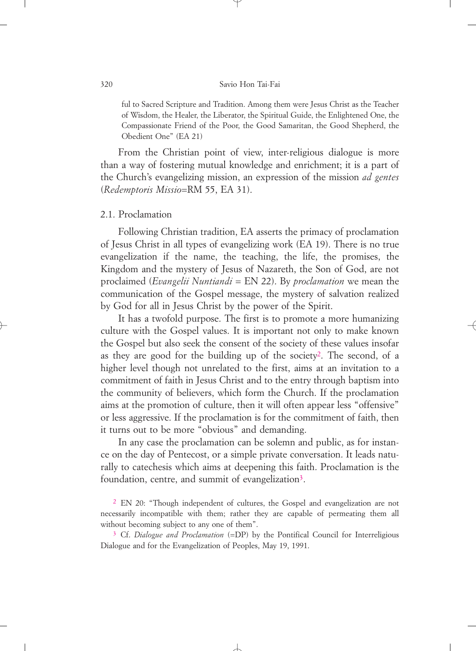#### 320 Savio Hon Tai-Fai

ful to Sacred Scripture and Tradition. Among them were Jesus Christ as the Teacher of Wisdom, the Healer, the Liberator, the Spiritual Guide, the Enlightened One, the Compassionate Friend of the Poor, the Good Samaritan, the Good Shepherd, the Obedient One" (EA 21)

From the Christian point of view, inter-religious dialogue is more than a way of fostering mutual knowledge and enrichment; it is a part of the Church's evangelizing mission, an expression of the mission *ad gentes* (*Redemptoris Missio*=RM 55, EA 31).

### 2.1. Proclamation

Following Christian tradition, EA asserts the primacy of proclamation of Jesus Christ in all types of evangelizing work (EA 19). There is no true evangelization if the name, the teaching, the life, the promises, the Kingdom and the mystery of Jesus of Nazareth, the Son of God, are not proclaimed (*Evangelii Nuntiandi* = EN 22). By *proclamation* we mean the communication of the Gospel message, the mystery of salvation realized by God for all in Jesus Christ by the power of the Spirit.

It has a twofold purpose. The first is to promote a more humanizing culture with the Gospel values. It is important not only to make known the Gospel but also seek the consent of the society of these values insofar as they are good for the building up of the society<sup>2</sup>. The second, of a higher level though not unrelated to the first, aims at an invitation to a commitment of faith in Jesus Christ and to the entry through baptism into the community of believers, which form the Church. If the proclamation aims at the promotion of culture, then it will often appear less "offensive" or less aggressive. If the proclamation is for the commitment of faith, then it turns out to be more "obvious" and demanding.

In any case the proclamation can be solemn and public, as for instance on the day of Pentecost, or a simple private conversation. It leads naturally to catechesis which aims at deepening this faith. Proclamation is the foundation, centre, and summit of evangelization<sup>3</sup>.

2 EN 20: "Though independent of cultures, the Gospel and evangelization are not necessarily incompatible with them; rather they are capable of permeating them all without becoming subject to any one of them".

3 Cf. *Dialogue and Proclamation* (=DP) by the Pontifical Council for Interreligious Dialogue and for the Evangelization of Peoples, May 19, 1991.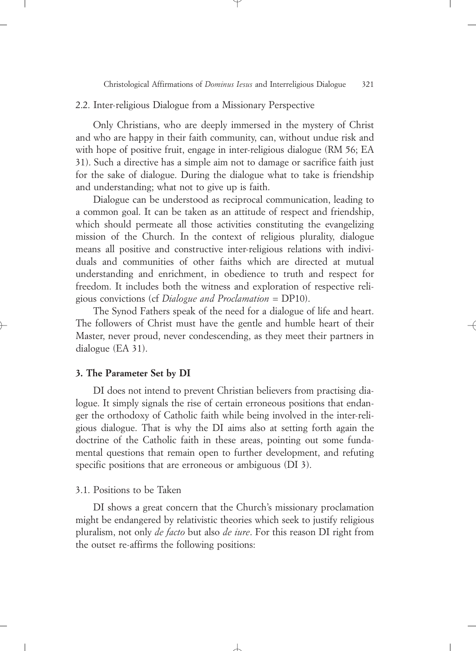### 2.2. Inter-religious Dialogue from a Missionary Perspective

Only Christians, who are deeply immersed in the mystery of Christ and who are happy in their faith community, can, without undue risk and with hope of positive fruit, engage in inter-religious dialogue (RM 56; EA 31). Such a directive has a simple aim not to damage or sacrifice faith just for the sake of dialogue. During the dialogue what to take is friendship and understanding; what not to give up is faith.

Dialogue can be understood as reciprocal communication, leading to a common goal. It can be taken as an attitude of respect and friendship, which should permeate all those activities constituting the evangelizing mission of the Church. In the context of religious plurality, dialogue means all positive and constructive inter-religious relations with individuals and communities of other faiths which are directed at mutual understanding and enrichment, in obedience to truth and respect for freedom. It includes both the witness and exploration of respective religious convictions (cf *Dialogue and Proclamation* = DP10).

The Synod Fathers speak of the need for a dialogue of life and heart. The followers of Christ must have the gentle and humble heart of their Master, never proud, never condescending, as they meet their partners in dialogue (EA 31).

### **3. The Parameter Set by DI**

DI does not intend to prevent Christian believers from practising dialogue. It simply signals the rise of certain erroneous positions that endanger the orthodoxy of Catholic faith while being involved in the inter-religious dialogue. That is why the DI aims also at setting forth again the doctrine of the Catholic faith in these areas, pointing out some fundamental questions that remain open to further development, and refuting specific positions that are erroneous or ambiguous (DI 3).

### 3.1. Positions to be Taken

DI shows a great concern that the Church's missionary proclamation might be endangered by relativistic theories which seek to justify religious pluralism, not only *de facto* but also *de iure*. For this reason DI right from the outset re-affirms the following positions: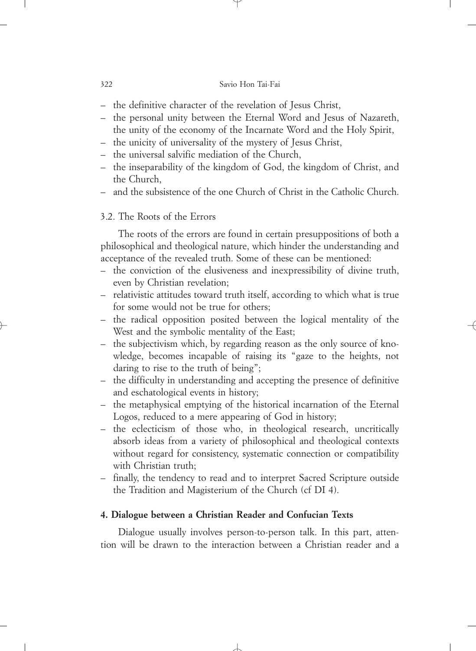- the definitive character of the revelation of Jesus Christ,
- the personal unity between the Eternal Word and Jesus of Nazareth, the unity of the economy of the Incarnate Word and the Holy Spirit,
- the unicity of universality of the mystery of Jesus Christ,
- the universal salvific mediation of the Church,
- the inseparability of the kingdom of God, the kingdom of Christ, and the Church,
- and the subsistence of the one Church of Christ in the Catholic Church.

### 3.2. The Roots of the Errors

The roots of the errors are found in certain presuppositions of both a philosophical and theological nature, which hinder the understanding and acceptance of the revealed truth. Some of these can be mentioned:

- the conviction of the elusiveness and inexpressibility of divine truth, even by Christian revelation;
- relativistic attitudes toward truth itself, according to which what is true for some would not be true for others;
- the radical opposition posited between the logical mentality of the West and the symbolic mentality of the East;
- the subjectivism which, by regarding reason as the only source of knowledge, becomes incapable of raising its "gaze to the heights, not daring to rise to the truth of being";
- the difficulty in understanding and accepting the presence of definitive and eschatological events in history;
- the metaphysical emptying of the historical incarnation of the Eternal Logos, reduced to a mere appearing of God in history;
- the eclecticism of those who, in theological research, uncritically absorb ideas from a variety of philosophical and theological contexts without regard for consistency, systematic connection or compatibility with Christian truth;
- finally, the tendency to read and to interpret Sacred Scripture outside the Tradition and Magisterium of the Church (cf DI 4).

## **4. Dialogue between a Christian Reader and Confucian Texts**

Dialogue usually involves person-to-person talk. In this part, attention will be drawn to the interaction between a Christian reader and a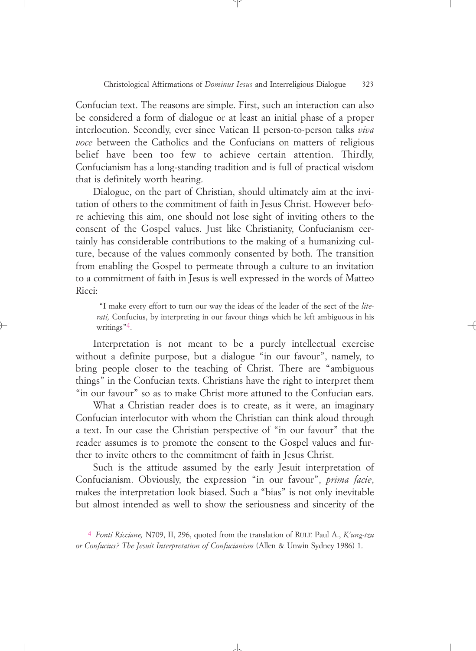Confucian text. The reasons are simple. First, such an interaction can also be considered a form of dialogue or at least an initial phase of a proper interlocution. Secondly, ever since Vatican II person-to-person talks *viva voce* between the Catholics and the Confucians on matters of religious belief have been too few to achieve certain attention. Thirdly, Confucianism has a long-standing tradition and is full of practical wisdom that is definitely worth hearing.

Dialogue, on the part of Christian, should ultimately aim at the invitation of others to the commitment of faith in Jesus Christ. However before achieving this aim, one should not lose sight of inviting others to the consent of the Gospel values. Just like Christianity, Confucianism certainly has considerable contributions to the making of a humanizing culture, because of the values commonly consented by both. The transition from enabling the Gospel to permeate through a culture to an invitation to a commitment of faith in Jesus is well expressed in the words of Matteo Ricci:

"I make every effort to turn our way the ideas of the leader of the sect of the *literati,* Confucius, by interpreting in our favour things which he left ambiguous in his writings<sup>"4</sup>.

Interpretation is not meant to be a purely intellectual exercise without a definite purpose, but a dialogue "in our favour", namely, to bring people closer to the teaching of Christ. There are "ambiguous things" in the Confucian texts. Christians have the right to interpret them "in our favour" so as to make Christ more attuned to the Confucian ears.

What a Christian reader does is to create, as it were, an imaginary Confucian interlocutor with whom the Christian can think aloud through a text. In our case the Christian perspective of "in our favour" that the reader assumes is to promote the consent to the Gospel values and further to invite others to the commitment of faith in Jesus Christ.

Such is the attitude assumed by the early Jesuit interpretation of Confucianism. Obviously, the expression "in our favour", *prima facie*, makes the interpretation look biased. Such a "bias" is not only inevitable but almost intended as well to show the seriousness and sincerity of the

4 *Fonti Ricciane,* N709, II, 296, quoted from the translation of RULE Paul A., *K'ung-tzu or Confucius? The Jesuit Interpretation of Confucianism* (Allen & Unwin Sydney 1986) 1.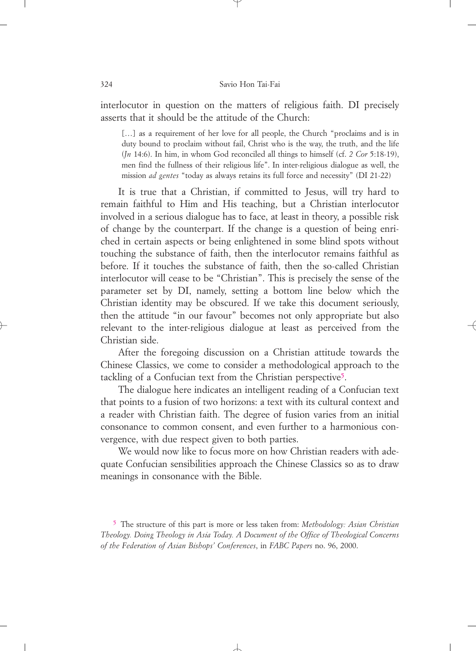interlocutor in question on the matters of religious faith. DI precisely asserts that it should be the attitude of the Church:

[...] as a requirement of her love for all people, the Church "proclaims and is in duty bound to proclaim without fail, Christ who is the way, the truth, and the life (*Jn* 14:6). In him, in whom God reconciled all things to himself (cf. *2 Cor* 5:18-19), men find the fullness of their religious life". In inter-religious dialogue as well, the mission *ad gentes* "today as always retains its full force and necessity" (DI 21-22)

It is true that a Christian, if committed to Jesus, will try hard to remain faithful to Him and His teaching, but a Christian interlocutor involved in a serious dialogue has to face, at least in theory, a possible risk of change by the counterpart. If the change is a question of being enriched in certain aspects or being enlightened in some blind spots without touching the substance of faith, then the interlocutor remains faithful as before. If it touches the substance of faith, then the so-called Christian interlocutor will cease to be "Christian". This is precisely the sense of the parameter set by DI, namely, setting a bottom line below which the Christian identity may be obscured. If we take this document seriously, then the attitude "in our favour" becomes not only appropriate but also relevant to the inter-religious dialogue at least as perceived from the Christian side.

After the foregoing discussion on a Christian attitude towards the Chinese Classics, we come to consider a methodological approach to the tackling of a Confucian text from the Christian perspective5.

The dialogue here indicates an intelligent reading of a Confucian text that points to a fusion of two horizons: a text with its cultural context and a reader with Christian faith. The degree of fusion varies from an initial consonance to common consent, and even further to a harmonious convergence, with due respect given to both parties.

We would now like to focus more on how Christian readers with adequate Confucian sensibilities approach the Chinese Classics so as to draw meanings in consonance with the Bible.

5 The structure of this part is more or less taken from: *Methodology: Asian Christian Theology. Doing Theology in Asia Today. A Document of the Office of Theological Concerns of the Federation of Asian Bishops' Conferences*, in *FABC Papers* no. 96, 2000.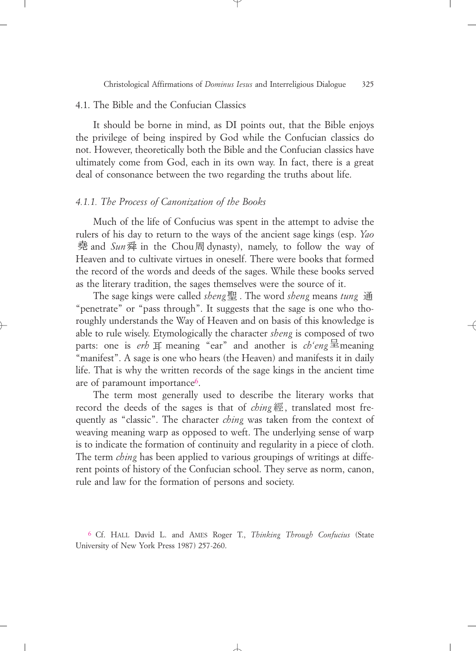### 4.1. The Bible and the Confucian Classics

It should be borne in mind, as DI points out, that the Bible enjoys the privilege of being inspired by God while the Confucian classics do not. However, theoretically both the Bible and the Confucian classics have ultimately come from God, each in its own way. In fact, there is a great deal of consonance between the two regarding the truths about life.

### *4.1.1. The Process of Canonization of the Books*

Much of the life of Confucius was spent in the attempt to advise the rulers of his day to return to the ways of the ancient sage kings (esp. *Yao* 堯 and *Sun* 舜 in the Chou周 dynasty), namely, to follow the way of Heaven and to cultivate virtues in oneself. There were books that formed the record of the words and deeds of the sages. While these books served as the literary tradition, the sages themselves were the source of it.

The sage kings were called *sheng* 聖 . The word *sheng* means *tung* 通 "penetrate" or "pass through". It suggests that the sage is one who thoroughly understands the Way of Heaven and on basis of this knowledge is able to rule wisely. Etymologically the character *sheng* is composed of two parts: one is *erh*  $\overline{F}$  meaning "ear" and another is *ch'eng*  $\overline{\Xi}$  meaning "manifest". A sage is one who hears (the Heaven) and manifests it in daily life. That is why the written records of the sage kings in the ancient time are of paramount importance6.

The term most generally used to describe the literary works that record the deeds of the sages is that of *ching* 經, translated most frequently as "classic". The character *ching* was taken from the context of weaving meaning warp as opposed to weft. The underlying sense of warp is to indicate the formation of continuity and regularity in a piece of cloth. The term *ching* has been applied to various groupings of writings at different points of history of the Confucian school. They serve as norm, canon, rule and law for the formation of persons and society.

6 Cf. HALL David L. and AMES Roger T., *Thinking Through Confucius* (State University of New York Press 1987) 257-260.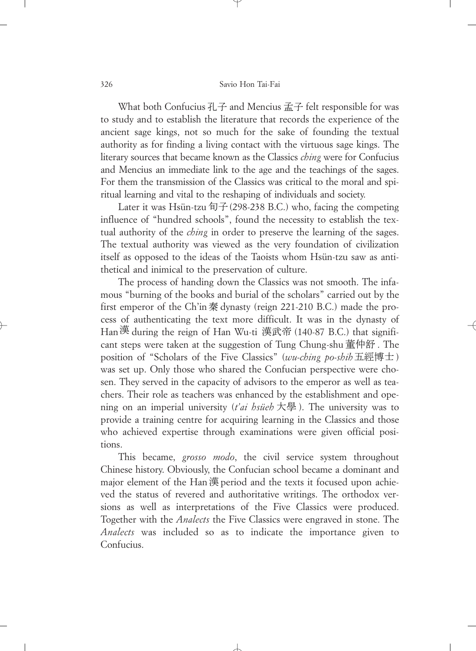What both Confucius  $H \vec{+}$  and Mencius  $\vec{m} \vec{+}$  felt responsible for was to study and to establish the literature that records the experience of the ancient sage kings, not so much for the sake of founding the textual authority as for finding a living contact with the virtuous sage kings. The literary sources that became known as the Classics *ching* were for Confucius and Mencius an immediate link to the age and the teachings of the sages. For them the transmission of the Classics was critical to the moral and spiritual learning and vital to the reshaping of individuals and society.

Later it was Hsün-tzu 旬子 (298-238 B.C.) who, facing the competing influence of "hundred schools", found the necessity to establish the textual authority of the *ching* in order to preserve the learning of the sages. The textual authority was viewed as the very foundation of civilization itself as opposed to the ideas of the Taoists whom Hsün-tzu saw as antithetical and inimical to the preservation of culture.

The process of handing down the Classics was not smooth. The infamous "burning of the books and burial of the scholars" carried out by the first emperor of the Ch'in秦 dynasty (reign 221-210 B.C.) made the process of authenticating the text more difficult. It was in the dynasty of Han漢 during the reign of Han Wu-ti 漢武帝 (140-87 B.C.) that significant steps were taken at the suggestion of Tung Chung-shu 董仲舒. The position of "Scholars of the Five Classics" (*wu-ching po-shih*五經博士) was set up. Only those who shared the Confucian perspective were chosen. They served in the capacity of advisors to the emperor as well as teachers. Their role as teachers was enhanced by the establishment and opening on an imperial university (*t'ai hsüeh* ). The university was to provide a training centre for acquiring learning in the Classics and those who achieved expertise through examinations were given official positions.

This became, *grosso modo*, the civil service system throughout Chinese history. Obviously, the Confucian school became a dominant and major element of the Han漢 period and the texts it focused upon achieved the status of revered and authoritative writings. The orthodox versions as well as interpretations of the Five Classics were produced. Together with the *Analects* the Five Classics were engraved in stone. The *Analects* was included so as to indicate the importance given to Confucius.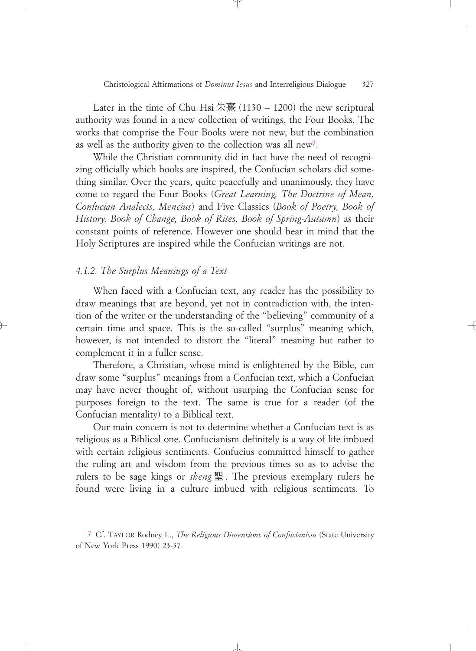Later in the time of Chu Hsi 朱熹 (1130 – 1200) the new scriptural authority was found in a new collection of writings, the Four Books. The works that comprise the Four Books were not new, but the combination as well as the authority given to the collection was all new7.

While the Christian community did in fact have the need of recognizing officially which books are inspired, the Confucian scholars did something similar. Over the years, quite peacefully and unanimously, they have come to regard the Four Books (*Great Learning, The Doctrine of Mean, Confucian Analects, Mencius*) and Five Classics (*Book of Poetry, Book of History, Book of Change, Book of Rites, Book of Spring-Autumn*) as their constant points of reference. However one should bear in mind that the Holy Scriptures are inspired while the Confucian writings are not.

### *4.1.2. The Surplus Meanings of a Text*

When faced with a Confucian text, any reader has the possibility to draw meanings that are beyond, yet not in contradiction with, the intention of the writer or the understanding of the "believing" community of a certain time and space. This is the so-called "surplus" meaning which, however, is not intended to distort the "literal" meaning but rather to complement it in a fuller sense.

Therefore, a Christian, whose mind is enlightened by the Bible, can draw some "surplus" meanings from a Confucian text, which a Confucian may have never thought of, without usurping the Confucian sense for purposes foreign to the text. The same is true for a reader (of the Confucian mentality) to a Biblical text.

Our main concern is not to determine whether a Confucian text is as religious as a Biblical one. Confucianism definitely is a way of life imbued with certain religious sentiments. Confucius committed himself to gather the ruling art and wisdom from the previous times so as to advise the rulers to be sage kings or *sheng* 聖. The previous exemplary rulers he found were living in a culture imbued with religious sentiments. To

<sup>7</sup> Cf. TAYLOR Rodney L., *The Religious Dimensions of Confucianism* (State University of New York Press 1990) 23-37.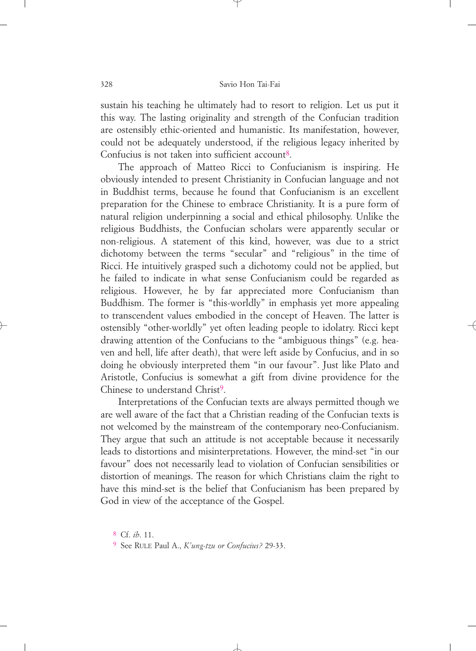sustain his teaching he ultimately had to resort to religion. Let us put it this way. The lasting originality and strength of the Confucian tradition are ostensibly ethic-oriented and humanistic. Its manifestation, however, could not be adequately understood, if the religious legacy inherited by Confucius is not taken into sufficient account<sup>8</sup>.

The approach of Matteo Ricci to Confucianism is inspiring. He obviously intended to present Christianity in Confucian language and not in Buddhist terms, because he found that Confucianism is an excellent preparation for the Chinese to embrace Christianity. It is a pure form of natural religion underpinning a social and ethical philosophy. Unlike the religious Buddhists, the Confucian scholars were apparently secular or non-religious. A statement of this kind, however, was due to a strict dichotomy between the terms "secular" and "religious" in the time of Ricci. He intuitively grasped such a dichotomy could not be applied, but he failed to indicate in what sense Confucianism could be regarded as religious. However, he by far appreciated more Confucianism than Buddhism. The former is "this-worldly" in emphasis yet more appealing to transcendent values embodied in the concept of Heaven. The latter is ostensibly "other-worldly" yet often leading people to idolatry. Ricci kept drawing attention of the Confucians to the "ambiguous things" (e.g. heaven and hell, life after death), that were left aside by Confucius, and in so doing he obviously interpreted them "in our favour". Just like Plato and Aristotle, Confucius is somewhat a gift from divine providence for the Chinese to understand Christ<sup>9</sup>.

Interpretations of the Confucian texts are always permitted though we are well aware of the fact that a Christian reading of the Confucian texts is not welcomed by the mainstream of the contemporary neo-Confucianism. They argue that such an attitude is not acceptable because it necessarily leads to distortions and misinterpretations. However, the mind-set "in our favour" does not necessarily lead to violation of Confucian sensibilities or distortion of meanings. The reason for which Christians claim the right to have this mind-set is the belief that Confucianism has been prepared by God in view of the acceptance of the Gospel.

8 Cf. *ib*. 11.

9 See RULE Paul A., *K'ung-tzu or Confucius?* 29-33.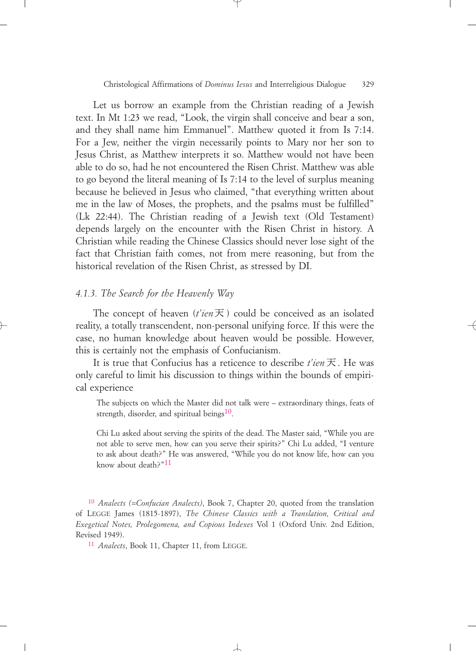Let us borrow an example from the Christian reading of a Jewish text. In Mt 1:23 we read, "Look, the virgin shall conceive and bear a son, and they shall name him Emmanuel". Matthew quoted it from Is 7:14. For a Jew, neither the virgin necessarily points to Mary nor her son to Jesus Christ, as Matthew interprets it so. Matthew would not have been able to do so, had he not encountered the Risen Christ. Matthew was able to go beyond the literal meaning of Is 7:14 to the level of surplus meaning because he believed in Jesus who claimed, "that everything written about me in the law of Moses, the prophets, and the psalms must be fulfilled" (Lk 22:44). The Christian reading of a Jewish text (Old Testament) depends largely on the encounter with the Risen Christ in history. A Christian while reading the Chinese Classics should never lose sight of the fact that Christian faith comes, not from mere reasoning, but from the historical revelation of the Risen Christ, as stressed by DI.

### *4.1.3. The Search for the Heavenly Way*

The concept of heaven  $(t'ien\overline{K})$  could be conceived as an isolated reality, a totally transcendent, non-personal unifying force. If this were the case, no human knowledge about heaven would be possible. However, this is certainly not the emphasis of Confucianism.

It is true that Confucius has a reticence to describe *t'ien* 天. He was only careful to limit his discussion to things within the bounds of empirical experience

The subjects on which the Master did not talk were – extraordinary things, feats of strength, disorder, and spiritual beings $10$ .

Chi Lu asked about serving the spirits of the dead. The Master said, "While you are not able to serve men, how can you serve their spirits?" Chi Lu added, "I venture to ask about death?" He was answered, "While you do not know life, how can you know about death?"11

10 *Analects (=Confucian Analects)*, Book 7, Chapter 20, quoted from the translation of LEGGE James (1815-1897), *The Chinese Classics with a Translation, Critical and Exegetical Notes, Prolegomena, and Copious Indexes* Vol 1 (Oxford Univ. 2nd Edition, Revised 1949).

11 *Analects*, Book 11, Chapter 11, from LEGGE.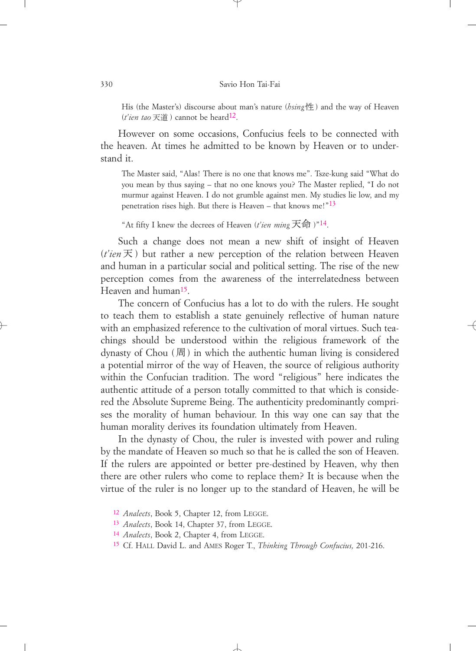His (the Master's) discourse about man's nature (*hsing*性) and the way of Heaven  $(t'ien\ tao\ \overline{\mathcal{F}}\ \underline{\mathcal{F}})$  cannot be heard<sup>12</sup>.

However on some occasions, Confucius feels to be connected with the heaven. At times he admitted to be known by Heaven or to understand it.

The Master said, "Alas! There is no one that knows me". Tsze-kung said "What do you mean by thus saying – that no one knows you? The Master replied, "I do not murmur against Heaven. I do not grumble against men. My studies lie low, and my penetration rises high. But there is Heaven – that knows me!" $13$ 

"At fifty I knew the decrees of Heaven (*t'ien ming*  $\overline{\mathcal{F}}$  fri)"<sup>14</sup>.

Such a change does not mean a new shift of insight of Heaven  $(t'ien \nabla)$  but rather a new perception of the relation between Heaven and human in a particular social and political setting. The rise of the new perception comes from the awareness of the interrelatedness between Heaven and human15.

The concern of Confucius has a lot to do with the rulers. He sought to teach them to establish a state genuinely reflective of human nature with an emphasized reference to the cultivation of moral virtues. Such teachings should be understood within the religious framework of the dynasty of Chou (周) in which the authentic human living is considered a potential mirror of the way of Heaven, the source of religious authority within the Confucian tradition. The word "religious" here indicates the authentic attitude of a person totally committed to that which is considered the Absolute Supreme Being. The authenticity predominantly comprises the morality of human behaviour. In this way one can say that the human morality derives its foundation ultimately from Heaven.

In the dynasty of Chou, the ruler is invested with power and ruling by the mandate of Heaven so much so that he is called the son of Heaven. If the rulers are appointed or better pre-destined by Heaven, why then there are other rulers who come to replace them? It is because when the virtue of the ruler is no longer up to the standard of Heaven, he will be

<sup>12</sup> *Analects*, Book 5, Chapter 12, from LEGGE.

<sup>13</sup> *Analects*, Book 14, Chapter 37, from LEGGE.

<sup>14</sup> *Analects*, Book 2, Chapter 4, from LEGGE.

<sup>15</sup> Cf. HALL David L. and AMES Roger T., *Thinking Through Confucius,* 201-216.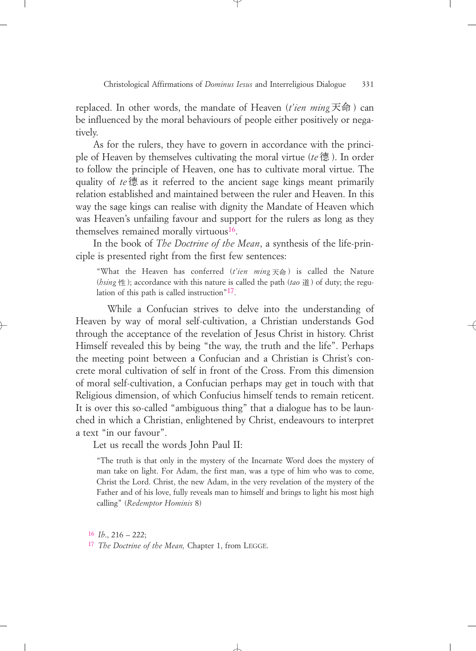replaced. In other words, the mandate of Heaven (*t'ien ming*天命) can be influenced by the moral behaviours of people either positively or negatively.

As for the rulers, they have to govern in accordance with the principle of Heaven by themselves cultivating the moral virtue (*te* 德). In order to follow the principle of Heaven, one has to cultivate moral virtue. The quality of *te*德 as it referred to the ancient sage kings meant primarily relation established and maintained between the ruler and Heaven. In this way the sage kings can realise with dignity the Mandate of Heaven which was Heaven's unfailing favour and support for the rulers as long as they themselves remained morally virtuous<sup>16</sup>.

In the book of *The Doctrine of the Mean*, a synthesis of the life-principle is presented right from the first few sentences:

"What the Heaven has conferred (*t'ien ming*天命) is called the Nature (*bsing* 性); accordance with this nature is called the path (*tao* 道) of duty; the regulation of this path is called instruction"17.

While a Confucian strives to delve into the understanding of Heaven by way of moral self-cultivation, a Christian understands God through the acceptance of the revelation of Jesus Christ in history. Christ Himself revealed this by being "the way, the truth and the life". Perhaps the meeting point between a Confucian and a Christian is Christ's concrete moral cultivation of self in front of the Cross. From this dimension of moral self-cultivation, a Confucian perhaps may get in touch with that Religious dimension, of which Confucius himself tends to remain reticent. It is over this so-called "ambiguous thing" that a dialogue has to be launched in which a Christian, enlightened by Christ, endeavours to interpret a text "in our favour".

Let us recall the words John Paul II:

"The truth is that only in the mystery of the Incarnate Word does the mystery of man take on light. For Adam, the first man, was a type of him who was to come, Christ the Lord. Christ, the new Adam, in the very revelation of the mystery of the Father and of his love, fully reveals man to himself and brings to light his most high calling" (*Redemptor Hominis* 8)

16 *Ib*., 216 – 222; 17 *The Doctrine of the Mean,* Chapter 1, from LEGGE.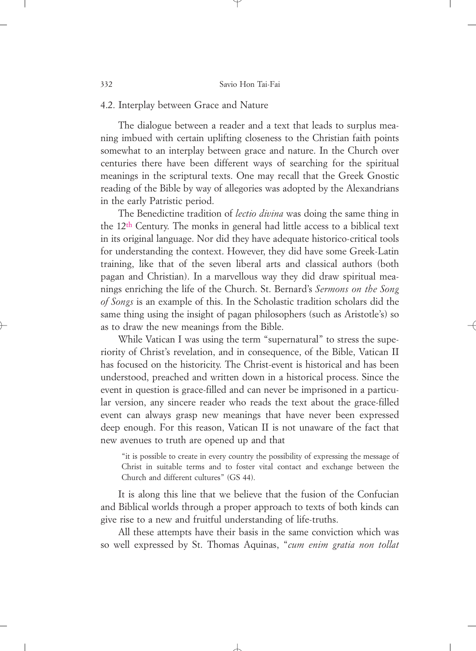### 4.2. Interplay between Grace and Nature

The dialogue between a reader and a text that leads to surplus meaning imbued with certain uplifting closeness to the Christian faith points somewhat to an interplay between grace and nature. In the Church over centuries there have been different ways of searching for the spiritual meanings in the scriptural texts. One may recall that the Greek Gnostic reading of the Bible by way of allegories was adopted by the Alexandrians in the early Patristic period.

The Benedictine tradition of *lectio divina* was doing the same thing in the 12th Century. The monks in general had little access to a biblical text in its original language. Nor did they have adequate historico-critical tools for understanding the context. However, they did have some Greek-Latin training, like that of the seven liberal arts and classical authors (both pagan and Christian). In a marvellous way they did draw spiritual meanings enriching the life of the Church. St. Bernard's *Sermons on the Song of Songs* is an example of this. In the Scholastic tradition scholars did the same thing using the insight of pagan philosophers (such as Aristotle's) so as to draw the new meanings from the Bible.

While Vatican I was using the term "supernatural" to stress the superiority of Christ's revelation, and in consequence, of the Bible, Vatican II has focused on the historicity. The Christ-event is historical and has been understood, preached and written down in a historical process. Since the event in question is grace-filled and can never be imprisoned in a particular version, any sincere reader who reads the text about the grace-filled event can always grasp new meanings that have never been expressed deep enough. For this reason, Vatican II is not unaware of the fact that new avenues to truth are opened up and that

"it is possible to create in every country the possibility of expressing the message of Christ in suitable terms and to foster vital contact and exchange between the Church and different cultures" (GS 44).

It is along this line that we believe that the fusion of the Confucian and Biblical worlds through a proper approach to texts of both kinds can give rise to a new and fruitful understanding of life-truths.

All these attempts have their basis in the same conviction which was so well expressed by St. Thomas Aquinas, "*cum enim gratia non tollat*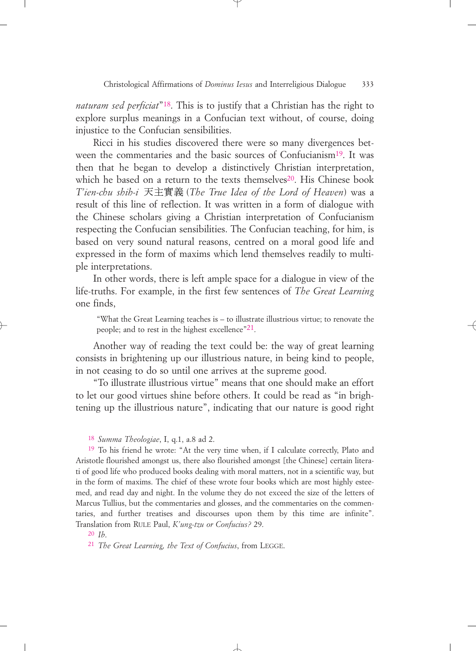*naturam sed perficiat*"18. This is to justify that a Christian has the right to explore surplus meanings in a Confucian text without, of course, doing injustice to the Confucian sensibilities.

Ricci in his studies discovered there were so many divergences between the commentaries and the basic sources of Confucianism<sup>19</sup>. It was then that he began to develop a distinctively Christian interpretation, which he based on a return to the texts themselves<sup>20</sup>. His Chinese book T'ien-chu shih-i 天主實義 (The True Idea of the Lord of Heaven) was a result of this line of reflection. It was written in a form of dialogue with the Chinese scholars giving a Christian interpretation of Confucianism respecting the Confucian sensibilities. The Confucian teaching, for him, is based on very sound natural reasons, centred on a moral good life and expressed in the form of maxims which lend themselves readily to multiple interpretations.

In other words, there is left ample space for a dialogue in view of the life-truths. For example, in the first few sentences of *The Great Learning* one finds,

"What the Great Learning teaches is – to illustrate illustrious virtue; to renovate the people; and to rest in the highest excellence"<sup>21</sup>.

Another way of reading the text could be: the way of great learning consists in brightening up our illustrious nature, in being kind to people, in not ceasing to do so until one arrives at the supreme good.

"To illustrate illustrious virtue" means that one should make an effort to let our good virtues shine before others. It could be read as "in brightening up the illustrious nature", indicating that our nature is good right

19 To his friend he wrote: "At the very time when, if I calculate correctly, Plato and Aristotle flourished amongst us, there also flourished amongst [the Chinese] certain literati of good life who produced books dealing with moral matters, not in a scientific way, but in the form of maxims. The chief of these wrote four books which are most highly esteemed, and read day and night. In the volume they do not exceed the size of the letters of Marcus Tullius, but the commentaries and glosses, and the commentaries on the commentaries, and further treatises and discourses upon them by this time are infinite". Translation from RULE Paul, *K'ung-tzu or Confucius?* 29.

20 *Ib*.

21 *The Great Learning, the Text of Confucius*, from LEGGE.

<sup>18</sup> *Summa Theologiae*, I, q.1, a.8 ad 2.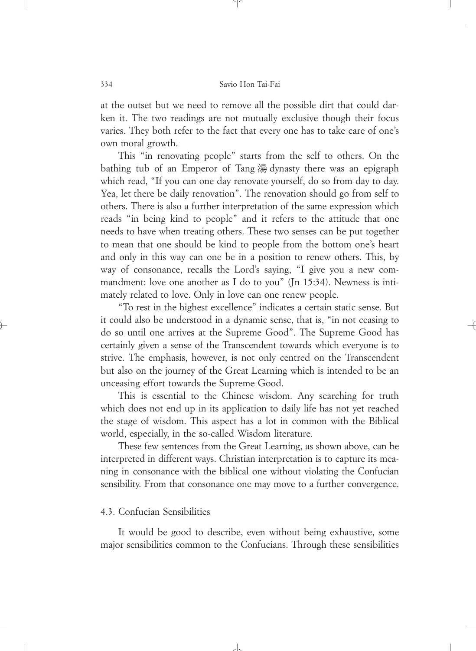at the outset but we need to remove all the possible dirt that could darken it. The two readings are not mutually exclusive though their focus varies. They both refer to the fact that every one has to take care of one's own moral growth.

This "in renovating people" starts from the self to others. On the bathing tub of an Emperor of Tang 湯 dynasty there was an epigraph which read, "If you can one day renovate yourself, do so from day to day. Yea, let there be daily renovation". The renovation should go from self to others. There is also a further interpretation of the same expression which reads "in being kind to people" and it refers to the attitude that one needs to have when treating others. These two senses can be put together to mean that one should be kind to people from the bottom one's heart and only in this way can one be in a position to renew others. This, by way of consonance, recalls the Lord's saying, "I give you a new commandment: love one another as I do to you" (Jn 15:34). Newness is intimately related to love. Only in love can one renew people.

"To rest in the highest excellence" indicates a certain static sense. But it could also be understood in a dynamic sense, that is, "in not ceasing to do so until one arrives at the Supreme Good". The Supreme Good has certainly given a sense of the Transcendent towards which everyone is to strive. The emphasis, however, is not only centred on the Transcendent but also on the journey of the Great Learning which is intended to be an unceasing effort towards the Supreme Good.

This is essential to the Chinese wisdom. Any searching for truth which does not end up in its application to daily life has not yet reached the stage of wisdom. This aspect has a lot in common with the Biblical world, especially, in the so-called Wisdom literature.

These few sentences from the Great Learning, as shown above, can be interpreted in different ways. Christian interpretation is to capture its meaning in consonance with the biblical one without violating the Confucian sensibility. From that consonance one may move to a further convergence.

### 4.3. Confucian Sensibilities

It would be good to describe, even without being exhaustive, some major sensibilities common to the Confucians. Through these sensibilities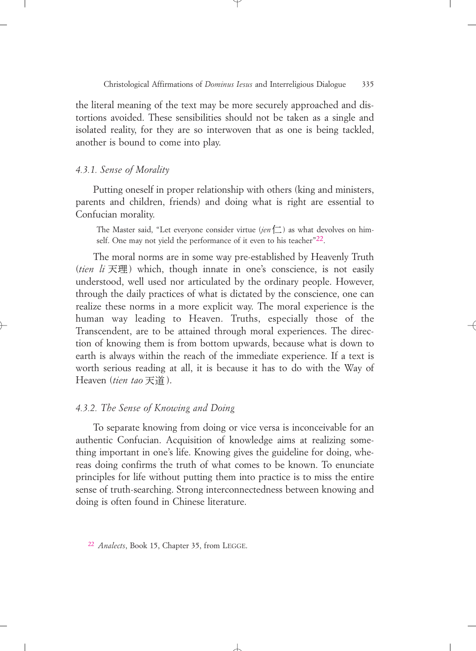the literal meaning of the text may be more securely approached and distortions avoided. These sensibilities should not be taken as a single and isolated reality, for they are so interwoven that as one is being tackled, another is bound to come into play.

### *4.3.1. Sense of Morality*

Putting oneself in proper relationship with others (king and ministers, parents and children, friends) and doing what is right are essential to Confucian morality.

The Master said, "Let everyone consider virtue (*jen*  $\Box$ ) as what devolves on himself. One may not yield the performance of it even to his teacher<sup>"22</sup>.

The moral norms are in some way pre-established by Heavenly Truth (tien li 天理) which, though innate in one's conscience, is not easily understood, well used nor articulated by the ordinary people. However, through the daily practices of what is dictated by the conscience, one can realize these norms in a more explicit way. The moral experience is the human way leading to Heaven. Truths, especially those of the Transcendent, are to be attained through moral experiences. The direction of knowing them is from bottom upwards, because what is down to earth is always within the reach of the immediate experience. If a text is worth serious reading at all, it is because it has to do with the Way of Heaven (tien tao 天道).

### *4.3.2. The Sense of Knowing and Doing*

To separate knowing from doing or vice versa is inconceivable for an authentic Confucian. Acquisition of knowledge aims at realizing something important in one's life. Knowing gives the guideline for doing, whereas doing confirms the truth of what comes to be known. To enunciate principles for life without putting them into practice is to miss the entire sense of truth-searching. Strong interconnectedness between knowing and doing is often found in Chinese literature.

<sup>22</sup> *Analects*, Book 15, Chapter 35, from LEGGE.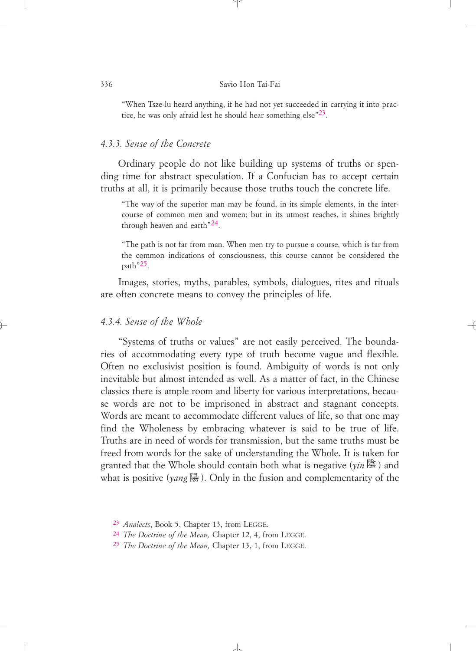#### 336 Savio Hon Tai-Fai

"When Tsze-lu heard anything, if he had not yet succeeded in carrying it into practice, he was only afraid lest he should hear something else"23.

### *4.3.3. Sense of the Concrete*

Ordinary people do not like building up systems of truths or spending time for abstract speculation. If a Confucian has to accept certain truths at all, it is primarily because those truths touch the concrete life.

"The way of the superior man may be found, in its simple elements, in the intercourse of common men and women; but in its utmost reaches, it shines brightly through heaven and earth"24.

"The path is not far from man. When men try to pursue a course, which is far from the common indications of consciousness, this course cannot be considered the path"25.

Images, stories, myths, parables, symbols, dialogues, rites and rituals are often concrete means to convey the principles of life.

### *4.3.4. Sense of the Whole*

"Systems of truths or values" are not easily perceived. The boundaries of accommodating every type of truth become vague and flexible. Often no exclusivist position is found. Ambiguity of words is not only inevitable but almost intended as well. As a matter of fact, in the Chinese classics there is ample room and liberty for various interpretations, because words are not to be imprisoned in abstract and stagnant concepts. Words are meant to accommodate different values of life, so that one may find the Wholeness by embracing whatever is said to be true of life. Truths are in need of words for transmission, but the same truths must be freed from words for the sake of understanding the Whole. It is taken for granted that the Whole should contain both what is negative (yin陰) and what is positive (yang陽). Only in the fusion and complementarity of the

<sup>23</sup> *Analects*, Book 5, Chapter 13, from LEGGE.

<sup>24</sup> *The Doctrine of the Mean,* Chapter 12, 4, from LEGGE.

<sup>25</sup> *The Doctrine of the Mean,* Chapter 13, 1, from LEGGE.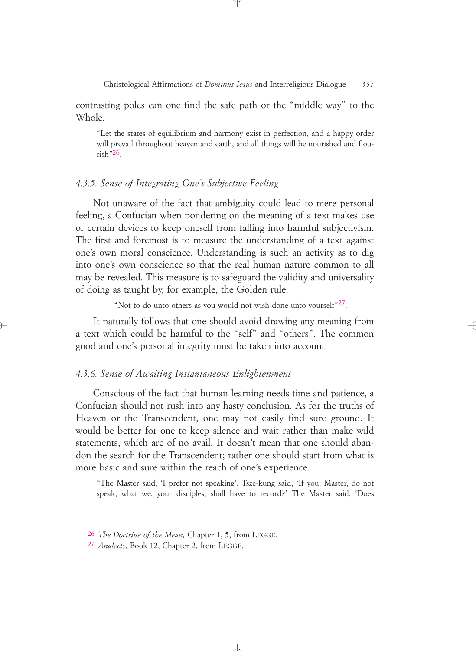contrasting poles can one find the safe path or the "middle way" to the Whole.

"Let the states of equilibrium and harmony exist in perfection, and a happy order will prevail throughout heaven and earth, and all things will be nourished and flou- $\text{rish}$ "26.

### *4.3.5. Sense of Integrating One's Subjective Feeling*

Not unaware of the fact that ambiguity could lead to mere personal feeling, a Confucian when pondering on the meaning of a text makes use of certain devices to keep oneself from falling into harmful subjectivism. The first and foremost is to measure the understanding of a text against one's own moral conscience. Understanding is such an activity as to dig into one's own conscience so that the real human nature common to all may be revealed. This measure is to safeguard the validity and universality of doing as taught by, for example, the Golden rule:

"Not to do unto others as you would not wish done unto yourself"27.

It naturally follows that one should avoid drawing any meaning from a text which could be harmful to the "self" and "others". The common good and one's personal integrity must be taken into account.

### *4.3.6. Sense of Awaiting Instantaneous Enlightenment*

Conscious of the fact that human learning needs time and patience, a Confucian should not rush into any hasty conclusion. As for the truths of Heaven or the Transcendent, one may not easily find sure ground. It would be better for one to keep silence and wait rather than make wild statements, which are of no avail. It doesn't mean that one should abandon the search for the Transcendent; rather one should start from what is more basic and sure within the reach of one's experience.

"The Master said, 'I prefer not speaking'. Tsze-kung said, 'If you, Master, do not speak, what we, your disciples, shall have to record?' The Master said, 'Does

<sup>26</sup> *The Doctrine of the Mean,* Chapter 1, 5, from LEGGE.

<sup>27</sup> *Analects*, Book 12, Chapter 2, from LEGGE.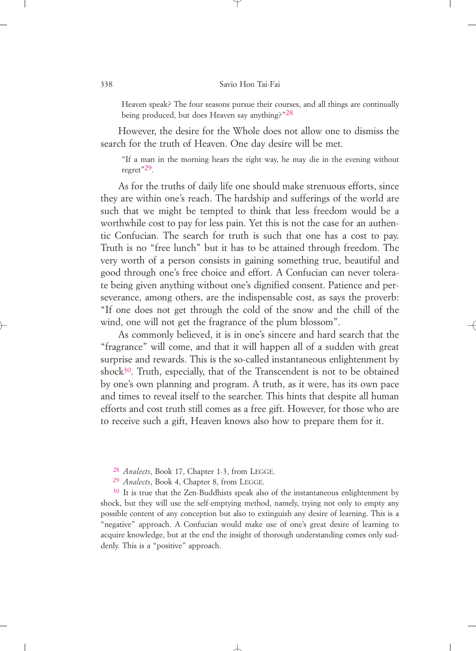#### 338 Savio Hon Tai-Fai

Heaven speak? The four seasons pursue their courses, and all things are continually being produced, but does Heaven say anything?"28

However, the desire for the Whole does not allow one to dismiss the search for the truth of Heaven. One day desire will be met.

"If a man in the morning hears the right way, he may die in the evening without regret"29.

As for the truths of daily life one should make strenuous efforts, since they are within one's reach. The hardship and sufferings of the world are such that we might be tempted to think that less freedom would be a worthwhile cost to pay for less pain. Yet this is not the case for an authentic Confucian. The search for truth is such that one has a cost to pay. Truth is no "free lunch" but it has to be attained through freedom. The very worth of a person consists in gaining something true, beautiful and good through one's free choice and effort. A Confucian can never tolerate being given anything without one's dignified consent. Patience and perseverance, among others, are the indispensable cost, as says the proverb: "If one does not get through the cold of the snow and the chill of the wind, one will not get the fragrance of the plum blossom".

As commonly believed, it is in one's sincere and hard search that the "fragrance" will come, and that it will happen all of a sudden with great surprise and rewards. This is the so-called instantaneous enlightenment by shock $30$ . Truth, especially, that of the Transcendent is not to be obtained by one's own planning and program. A truth, as it were, has its own pace and times to reveal itself to the searcher. This hints that despite all human efforts and cost truth still comes as a free gift. However, for those who are to receive such a gift, Heaven knows also how to prepare them for it.

- 28 *Analects*, Book 17, Chapter 1-3, from LEGGE.
- 29 *Analects*, Book 4, Chapter 8, from LEGGE.

<sup>30</sup> It is true that the Zen-Buddhists speak also of the instantaneous enlightenment by shock, but they will use the self-emptying method, namely, trying not only to empty any possible content of any conception but also to extinguish any desire of learning. This is a "negative" approach. A Confucian would make use of one's great desire of learning to acquire knowledge, but at the end the insight of thorough understanding comes only suddenly. This is a "positive" approach.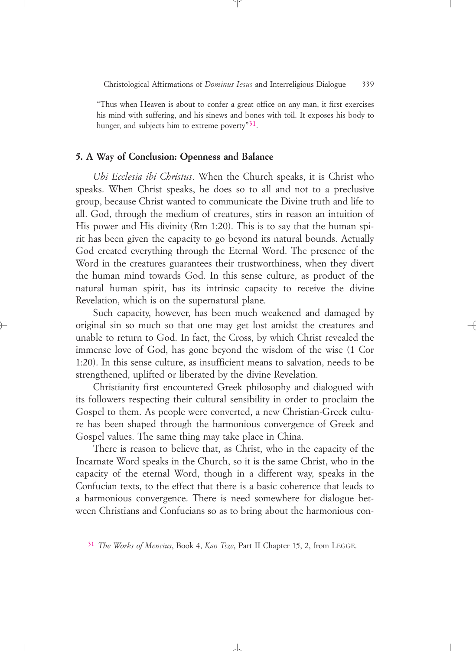"Thus when Heaven is about to confer a great office on any man, it first exercises his mind with suffering, and his sinews and bones with toil. It exposes his body to hunger, and subjects him to extreme poverty<sup>"31</sup>.

#### **5. A Way of Conclusion: Openness and Balance**

*Ubi Ecclesia ibi Christus*. When the Church speaks, it is Christ who speaks. When Christ speaks, he does so to all and not to a preclusive group, because Christ wanted to communicate the Divine truth and life to all. God, through the medium of creatures, stirs in reason an intuition of His power and His divinity (Rm 1:20). This is to say that the human spirit has been given the capacity to go beyond its natural bounds. Actually God created everything through the Eternal Word. The presence of the Word in the creatures guarantees their trustworthiness, when they divert the human mind towards God. In this sense culture, as product of the natural human spirit, has its intrinsic capacity to receive the divine Revelation, which is on the supernatural plane.

Such capacity, however, has been much weakened and damaged by original sin so much so that one may get lost amidst the creatures and unable to return to God. In fact, the Cross, by which Christ revealed the immense love of God, has gone beyond the wisdom of the wise (1 Cor 1:20). In this sense culture, as insufficient means to salvation, needs to be strengthened, uplifted or liberated by the divine Revelation.

Christianity first encountered Greek philosophy and dialogued with its followers respecting their cultural sensibility in order to proclaim the Gospel to them. As people were converted, a new Christian-Greek culture has been shaped through the harmonious convergence of Greek and Gospel values. The same thing may take place in China.

There is reason to believe that, as Christ, who in the capacity of the Incarnate Word speaks in the Church, so it is the same Christ, who in the capacity of the eternal Word, though in a different way, speaks in the Confucian texts, to the effect that there is a basic coherence that leads to a harmonious convergence. There is need somewhere for dialogue between Christians and Confucians so as to bring about the harmonious con-

<sup>31</sup> *The Works of Mencius*, Book 4, *Kao Tsze*, Part II Chapter 15, 2, from LEGGE.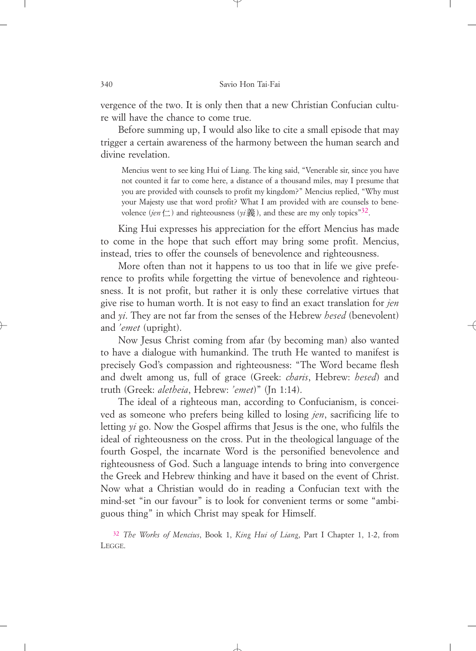vergence of the two. It is only then that a new Christian Confucian culture will have the chance to come true.

Before summing up, I would also like to cite a small episode that may trigger a certain awareness of the harmony between the human search and divine revelation.

Mencius went to see king Hui of Liang. The king said, "Venerable sir, since you have not counted it far to come here, a distance of a thousand miles, may I presume that you are provided with counsels to profit my kingdom?" Mencius replied, "Why must your Majesty use that word profit? What I am provided with are counsels to benevolence (*jen* 仁 ) and righteousness (yi義), and these are my only topics"<sup>32</sup>.

King Hui expresses his appreciation for the effort Mencius has made to come in the hope that such effort may bring some profit. Mencius, instead, tries to offer the counsels of benevolence and righteousness.

More often than not it happens to us too that in life we give preference to profits while forgetting the virtue of benevolence and righteousness. It is not profit, but rather it is only these correlative virtues that give rise to human worth. It is not easy to find an exact translation for *jen* and *yi*. They are not far from the senses of the Hebrew *hesed* (benevolent) and *'emet* (upright).

Now Jesus Christ coming from afar (by becoming man) also wanted to have a dialogue with humankind. The truth He wanted to manifest is precisely God's compassion and righteousness: "The Word became flesh and dwelt among us, full of grace (Greek: *charis*, Hebrew: *hesed*) and truth (Greek: *aletheia*, Hebrew: *'emet*)" (Jn 1:14).

The ideal of a righteous man, according to Confucianism, is conceived as someone who prefers being killed to losing *jen*, sacrificing life to letting *yi* go. Now the Gospel affirms that Jesus is the one, who fulfils the ideal of righteousness on the cross. Put in the theological language of the fourth Gospel, the incarnate Word is the personified benevolence and righteousness of God. Such a language intends to bring into convergence the Greek and Hebrew thinking and have it based on the event of Christ. Now what a Christian would do in reading a Confucian text with the mind-set "in our favour" is to look for convenient terms or some "ambiguous thing" in which Christ may speak for Himself.

32 *The Works of Mencius*, Book 1, *King Hui of Liang*, Part I Chapter 1, 1-2, from LEGGE.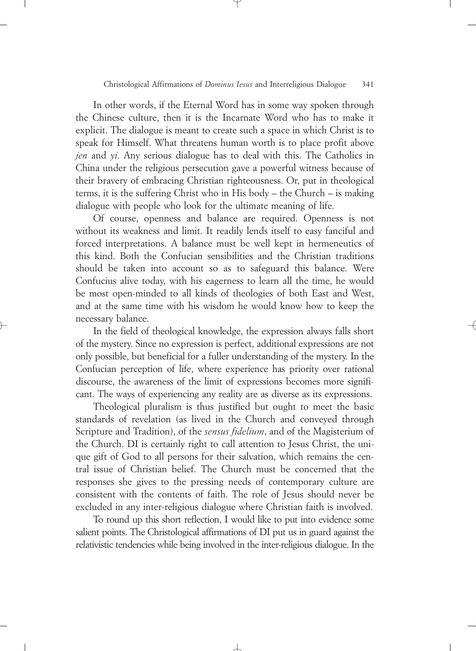In other words, if the Eternal Word has in some way spoken through the Chinese culture, then it is the Incarnate Word who has to make it explicit. The dialogue is meant to create such a space in which Christ is to speak for Himself. What threatens human worth is to place profit above *jen* and *yi*. Any serious dialogue has to deal with this. The Catholics in China under the religious persecution gave a powerful witness because of their bravery of embracing Christian righteousness. Or, put in theological terms, it is the suffering Christ who in His body – the Church – is making dialogue with people who look for the ultimate meaning of life.

Of course, openness and balance are required. Openness is not without its weakness and limit. It readily lends itself to easy fanciful and forced interpretations. A balance must be well kept in hermeneutics of this kind. Both the Confucian sensibilities and the Christian traditions should be taken into account so as to safeguard this balance. Were Confucius alive today, with his eagerness to learn all the time, he would be most open-minded to all kinds of theologies of both East and West, and at the same time with his wisdom he would know how to keep the necessary balance.

In the field of theological knowledge, the expression always falls short of the mystery. Since no expression is perfect, additional expressions are not only possible, but beneficial for a fuller understanding of the mystery. In the Confucian perception of life, where experience has priority over rational discourse, the awareness of the limit of expressions becomes more significant. The ways of experiencing any reality are as diverse as its expressions.

Theological pluralism is thus justified but ought to meet the basic standards of revelation (as lived in the Church and conveyed through Scripture and Tradition), of the *sensus fidelium*, and of the Magisterium of the Church. DI is certainly right to call attention to Jesus Christ, the unique gift of God to all persons for their salvation, which remains the central issue of Christian belief. The Church must be concerned that the responses she gives to the pressing needs of contemporary culture are consistent with the contents of faith. The role of Jesus should never be excluded in any inter-religious dialogue where Christian faith is involved.

To round up this short reflection, I would like to put into evidence some salient points. The Christological affirmations of DI put us in guard against the relativistic tendencies while being involved in the inter-religious dialogue. In the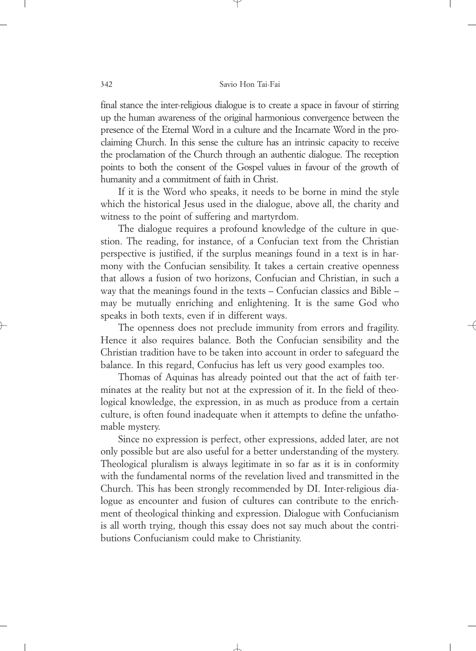final stance the inter-religious dialogue is to create a space in favour of stirring up the human awareness of the original harmonious convergence between the presence of the Eternal Word in a culture and the Incarnate Word in the proclaiming Church. In this sense the culture has an intrinsic capacity to receive the proclamation of the Church through an authentic dialogue. The reception points to both the consent of the Gospel values in favour of the growth of humanity and a commitment of faith in Christ.

If it is the Word who speaks, it needs to be borne in mind the style which the historical Jesus used in the dialogue, above all, the charity and witness to the point of suffering and martyrdom.

The dialogue requires a profound knowledge of the culture in question. The reading, for instance, of a Confucian text from the Christian perspective is justified, if the surplus meanings found in a text is in harmony with the Confucian sensibility. It takes a certain creative openness that allows a fusion of two horizons, Confucian and Christian, in such a way that the meanings found in the texts – Confucian classics and Bible – may be mutually enriching and enlightening. It is the same God who speaks in both texts, even if in different ways.

The openness does not preclude immunity from errors and fragility. Hence it also requires balance. Both the Confucian sensibility and the Christian tradition have to be taken into account in order to safeguard the balance. In this regard, Confucius has left us very good examples too.

Thomas of Aquinas has already pointed out that the act of faith terminates at the reality but not at the expression of it. In the field of theological knowledge, the expression, in as much as produce from a certain culture, is often found inadequate when it attempts to define the unfathomable mystery.

Since no expression is perfect, other expressions, added later, are not only possible but are also useful for a better understanding of the mystery. Theological pluralism is always legitimate in so far as it is in conformity with the fundamental norms of the revelation lived and transmitted in the Church. This has been strongly recommended by DI. Inter-religious dialogue as encounter and fusion of cultures can contribute to the enrichment of theological thinking and expression. Dialogue with Confucianism is all worth trying, though this essay does not say much about the contributions Confucianism could make to Christianity.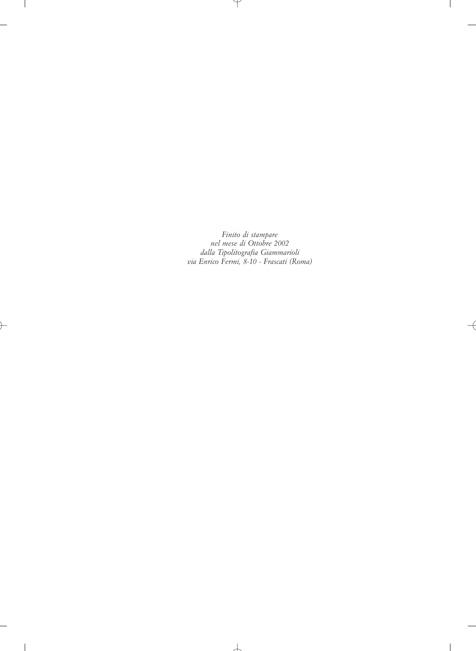*Finito di stampare nel mese di Ottobre 2002 dalla Tipolitografia Giammarioli via Enrico Fermi, 8-10 - Frascati (Roma)*